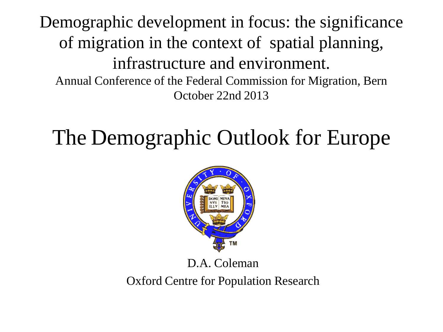Demographic development in focus: the significance of migration in the context of spatial planning, infrastructure and environment. Annual Conference of the Federal Commission for Migration, Bern October 22nd 2013

## The Demographic Outlook for Europe



#### D.A. Coleman

Oxford Centre for Population Research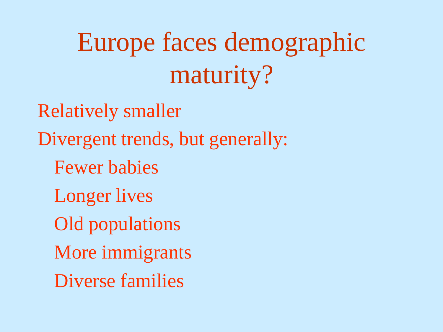# Europe faces demographic maturity?

Relatively smaller Divergent trends, but generally: Fewer babies Longer lives Old populations More immigrants Diverse families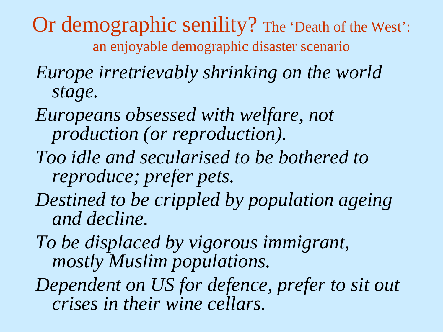Or demographic senility? The 'Death of the West': an enjoyable demographic disaster scenario

- *Europe irretrievably shrinking on the world stage.*
- *Europeans obsessed with welfare, not production (or reproduction).*
- *Too idle and secularised to be bothered to reproduce; prefer pets.*
- *Destined to be crippled by population ageing and decline.*

*To be displaced by vigorous immigrant, mostly Muslim populations.* 

*Dependent on US for defence, prefer to sit out crises in their wine cellars.*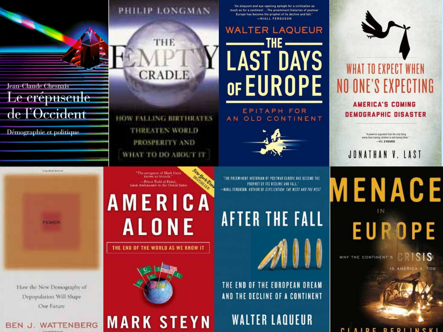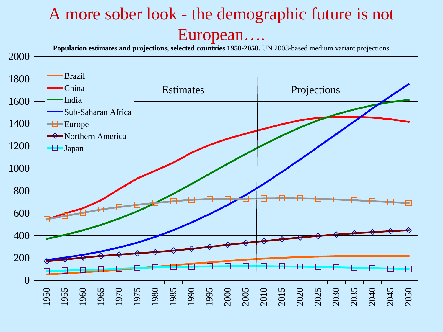### A more sober look - the demographic future is not European….

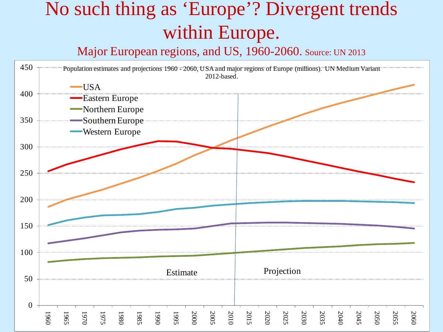## No such thing as 'Europe'? Divergent trends within Europe.

Major European regions, and US, 1960-2060. Source: UN 2013

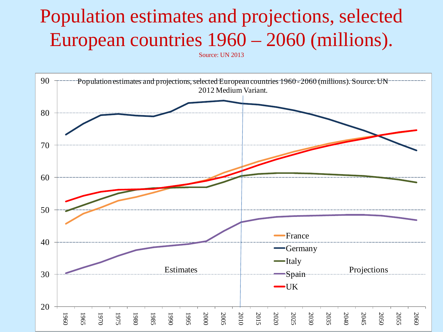## Population estimates and projections, selected European countries 1960 – 2060 (millions).

Source: UN 2013

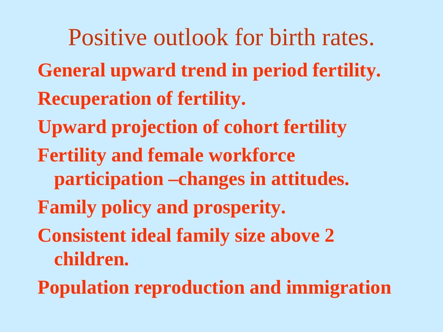Positive outlook for birth rates. **General upward trend in period fertility. Recuperation of fertility. Upward projection of cohort fertility Fertility and female workforce participation –changes in attitudes. Family policy and prosperity. Consistent ideal family size above 2 children.**

**Population reproduction and immigration**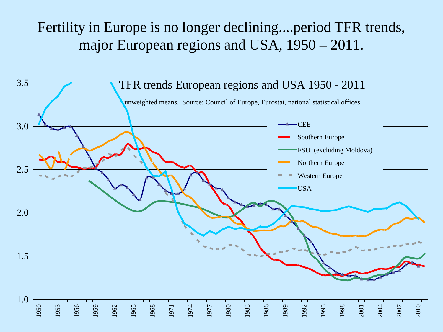#### Fertility in Europe is no longer declining....period TFR trends, major European regions and USA, 1950 – 2011.

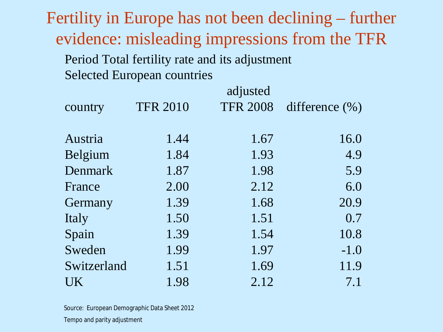Fertility in Europe has not been declining – further evidence: misleading impressions from the TFR Period Total fertility rate and its adjustment

Selected European countries

| country     | <b>TFR 2010</b> | adjusted<br><b>TFR 2008</b> | difference $(\% )$ |
|-------------|-----------------|-----------------------------|--------------------|
|             |                 |                             |                    |
| Austria     | 1.44            | 1.67                        | 16.0               |
| Belgium     | 1.84            | 1.93                        | 4.9                |
| Denmark     | 1.87            | 1.98                        | 5.9                |
| France      | 2.00            | 2.12                        | 6.0                |
| Germany     | 1.39            | 1.68                        | 20.9               |
| Italy       | 1.50            | 1.51                        | 0.7                |
| Spain       | 1.39            | 1.54                        | 10.8               |
| Sweden      | 1.99            | 1.97                        | $-1.0$             |
| Switzerland | 1.51            | 1.69                        | 11.9               |
| UK          | 1.98            | 2.12                        | 7.1                |

Source: European Demographic Data Sheet 2012 Tempo and parity adjustment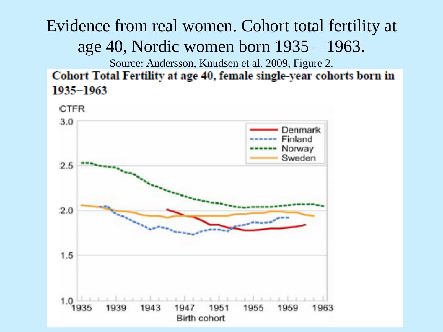Evidence from real women. Cohort total fertility at age 40, Nordic women born 1935 – 1963.

Source: Andersson, Knudsen et al. 2009, Figure 2.

Cohort Total Fertility at age 40, female single-year cohorts born in 1935-1963

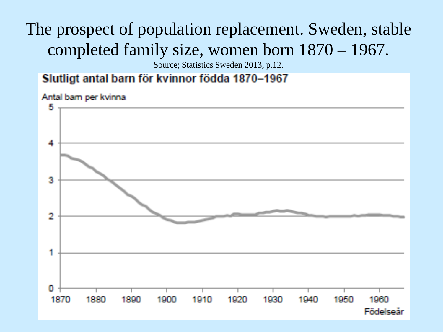## The prospect of population replacement. Sweden, stable completed family size, women born 1870 – 1967.

Source; Statistics Sweden 2013, p.12.

#### Slutligt antal barn för kvinnor födda 1870-1967

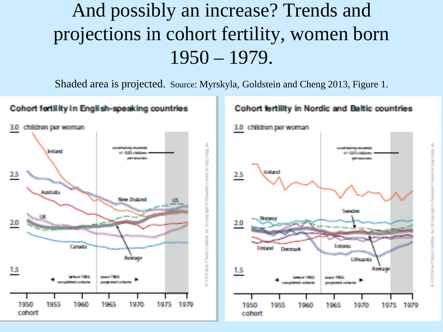## And possibly an increase? Trends and projections in cohort fertility, women born 1950 – 1979.

Shaded area is projected. Source: Myrskyla, Goldstein and Cheng 2013, Figure 1.

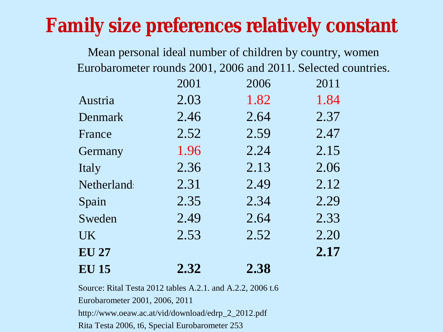## **Family size preferences relatively constant**

Mean personal ideal number of children by country, women Eurobarometer rounds 2001, 2006 and 2011. Selected countries.

|                   | 2001 | 2006 | 2011 |
|-------------------|------|------|------|
| Austria           | 2.03 | 1.82 | 1.84 |
| Denmark           | 2.46 | 2.64 | 2.37 |
| France            | 2.52 | 2.59 | 2.47 |
| Germany           | 1.96 | 2.24 | 2.15 |
| Italy             | 2.36 | 2.13 | 2.06 |
| <b>Netherland</b> | 2.31 | 2.49 | 2.12 |
| Spain             | 2.35 | 2.34 | 2.29 |
| Sweden            | 2.49 | 2.64 | 2.33 |
| <b>UK</b>         | 2.53 | 2.52 | 2.20 |
| <b>EU 27</b>      |      |      | 2.17 |
| <b>EU 15</b>      | 2.32 | 2.38 |      |

Source: Rital Testa 2012 tables A.2.1. and A.2.2, 2006 t.6 Eurobarometer 2001, 2006, 2011 http://www.oeaw.ac.at/vid/download/edrp\_2\_2012.pdf Rita Testa 2006, t6, Special Eurobarometer 253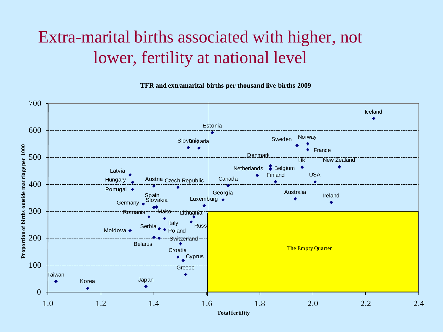### Extra-marital births associated with higher, not lower, fertility at national level

**TFR and extramarital births per thousand live births 2009**

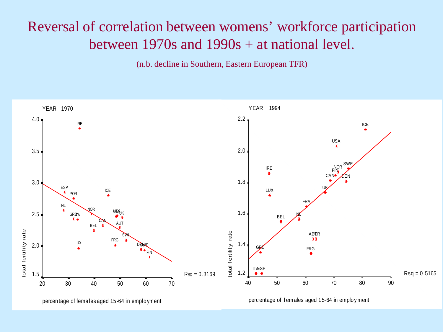#### Reversal of correlation between womens' workforce participation between 1970s and 1990s + at national level.

(n.b. decline in Southern, Eastern European TFR)

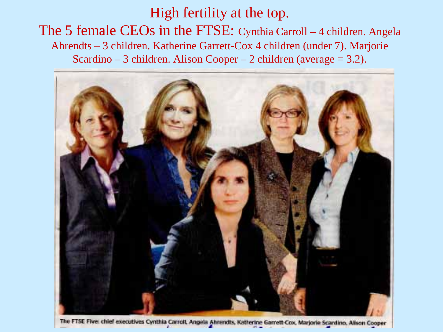#### High fertility at the top.

The 5 female CEOs in the FTSE: Cynthia Carroll – 4 children. Angela Ahrendts – 3 children. Katherine Garrett-Cox 4 children (under 7). Marjorie Scardino – 3 children. Alison Cooper – 2 children (average  $= 3.2$ ).



The FTSE Five: chief executives Cynthia Carroll, Angela Ahrendts, Katherine Garrett-Cox, Marjorie Scardino, Alison Cooper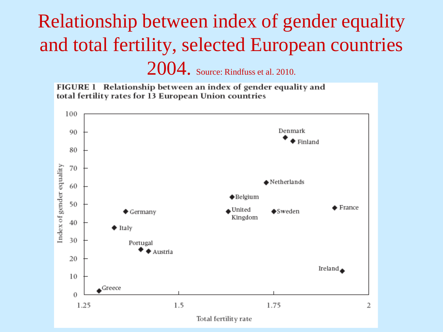## Relationship between index of gender equality and total fertility, selected European countries 2004. Source: Rindfuss et al. 2010.

FIGURE 1 Relationship between an index of gender equality and total fertility rates for 13 European Union countries

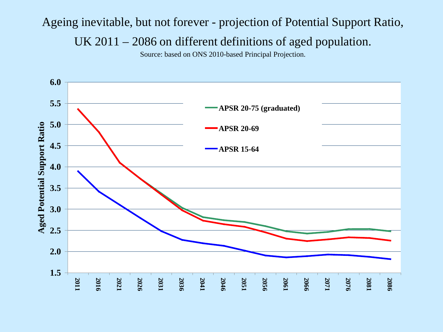#### Ageing inevitable, but not forever - projection of Potential Support Ratio, UK 2011 – 2086 on different definitions of aged population.

Source: based on ONS 2010-based Principal Projection.

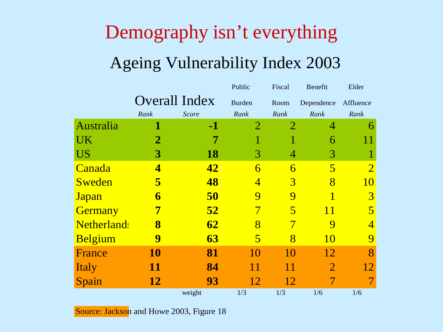## Demography isn't everything Ageing Vulnerability Index 2003

|                    |           |                      | Public                  | Fiscal         | Benefit        | Elder          |
|--------------------|-----------|----------------------|-------------------------|----------------|----------------|----------------|
|                    |           | <b>Overall Index</b> | <b>Burden</b>           | Room           | Dependence     | Affluence      |
|                    | Rank      | Score                | Rank                    | Rank           | Rank           | Rank           |
| Australia          |           | $-1$                 | 2                       | $\overline{2}$ | 4              | 6              |
| <b>UK</b>          | 2         |                      |                         |                | 6              |                |
| <b>US</b>          | 3         | <b>18</b>            | 3                       | 4              | 3              |                |
| Canada             | 4         | 42                   | 6                       | 6              | 5              | $\overline{2}$ |
| Sweden             | 5         | 48                   | $\overline{4}$          | 3              | 8              | 10             |
| <b>Japan</b>       | 6         | 50                   | $\boldsymbol{Q}$        | 9              | 1              | 3              |
| Germany            | 7         | 52                   | 7                       | 5              | 11             | 5              |
| <b>Netherland:</b> | 8         | 62                   | 8                       |                | 9              |                |
| <b>Belgium</b>     | 9         | 63                   | $\overline{\mathbf{5}}$ | 8              | 10             | $\overline{Q}$ |
| France             | <b>10</b> | 81                   | 10                      | 10             | 12             | 8              |
| <b>Italy</b>       | 11        | 84                   | 11                      | 11             | $\overline{2}$ | 12             |
| Spain              | <b>12</b> | 93                   | 12                      | 12             |                |                |
|                    |           | weight               | 1/3                     | 1/3            | 1/6            | 1/6            |

Source: Jackson and Howe 2003, Figure 18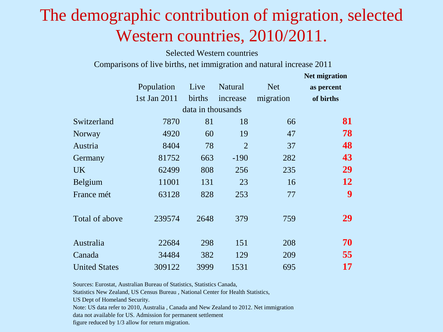### The demographic contribution of migration, selected Western countries, 2010/2011.

Selected Western countries

Comparisons of live births, net immigration and natural increase 2011

|                      |              |                   |                |            | <b>Net migration</b> |
|----------------------|--------------|-------------------|----------------|------------|----------------------|
|                      | Population   | Live              | Natural        | <b>Net</b> | as percent           |
|                      | 1st Jan 2011 | births            | increase       | migration  | of births            |
|                      |              | data in thousands |                |            |                      |
| Switzerland          | 7870         | 81                | 18             | 66         | 81                   |
| Norway               | 4920         | 60                | 19             | 47         | 78                   |
| Austria              | 8404         | 78                | $\overline{2}$ | 37         | 48                   |
| Germany              | 81752        | 663               | $-190$         | 282        | 43                   |
| <b>UK</b>            | 62499        | 808               | 256            | 235        | 29                   |
| Belgium              | 11001        | 131               | 23             | 16         | 12                   |
| France mét           | 63128        | 828               | 253            | 77         | 9                    |
|                      |              |                   |                |            |                      |
| Total of above       | 239574       | 2648              | 379            | 759        | 29                   |
|                      |              |                   |                |            |                      |
| Australia            | 22684        | 298               | 151            | 208        | 70                   |
| Canada               | 34484        | 382               | 129            | 209        | 55                   |
| <b>United States</b> | 309122       | 3999              | 1531           | 695        | 17                   |

Sources: Eurostat, Australian Bureau of Statistics, Statistics Canada,

Statistics New Zealand, US Census Bureau , National Center for Health Statistics,

US Dept of Homeland Security.

Note: US data refer to 2010, Australia , Canada and New Zealand to 2012. Net immigration

data not available for US. Admission for permanent settlement

figure reduced by 1/3 allow for return migration.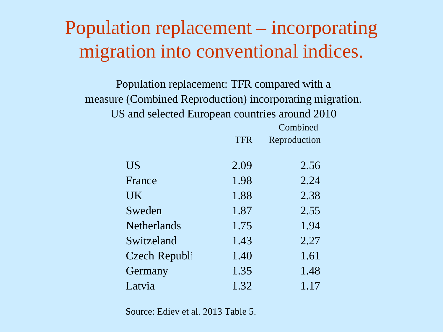## Population replacement – incorporating migration into conventional indices.

Population replacement: TFR compared with a measure (Combined Reproduction) incorporating migration. US and selected European countries around 2010  $\overline{C}$  1, 1

|                    |            | Combined     |
|--------------------|------------|--------------|
|                    | <b>TFR</b> | Reproduction |
|                    |            |              |
| <b>US</b>          | 2.09       | 2.56         |
| France             | 1.98       | 2.24         |
| <b>UK</b>          | 1.88       | 2.38         |
| Sweden             | 1.87       | 2.55         |
| <b>Netherlands</b> | 1.75       | 1.94         |
| Switzeland         | 1.43       | 2.27         |
| Czech Republi      | 1.40       | 1.61         |
| Germany            | 1.35       | 1.48         |
| Latvia             | 1.32       | 1.17         |

Source: Ediev et al. 2013 Table 5.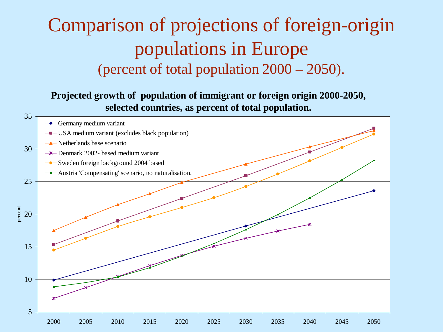## Comparison of projections of foreign-origin populations in Europe (percent of total population 2000 – 2050).

**Projected growth of population of immigrant or foreign origin 2000-2050, selected countries, as percent of total population.** 

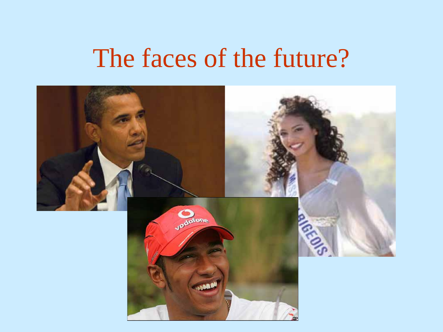## The faces of the future?

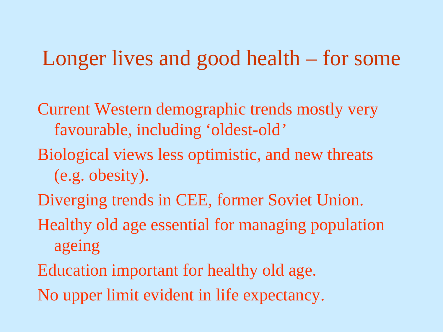## Longer lives and good health – for some

- Current Western demographic trends mostly very favourable, including 'oldest-old*'*
- Biological views less optimistic, and new threats (e.g. obesity).
- Diverging trends in CEE, former Soviet Union.
- Healthy old age essential for managing population ageing
- Education important for healthy old age.
- No upper limit evident in life expectancy.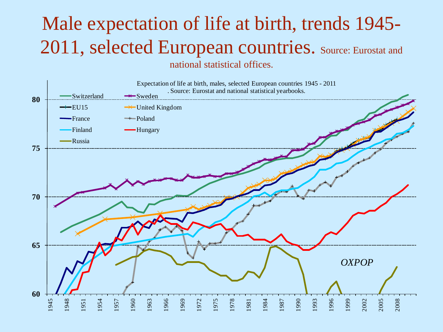### Male expectation of life at birth, trends 1945- 2011, selected European countries. Source: Eurostat and national statistical offices.